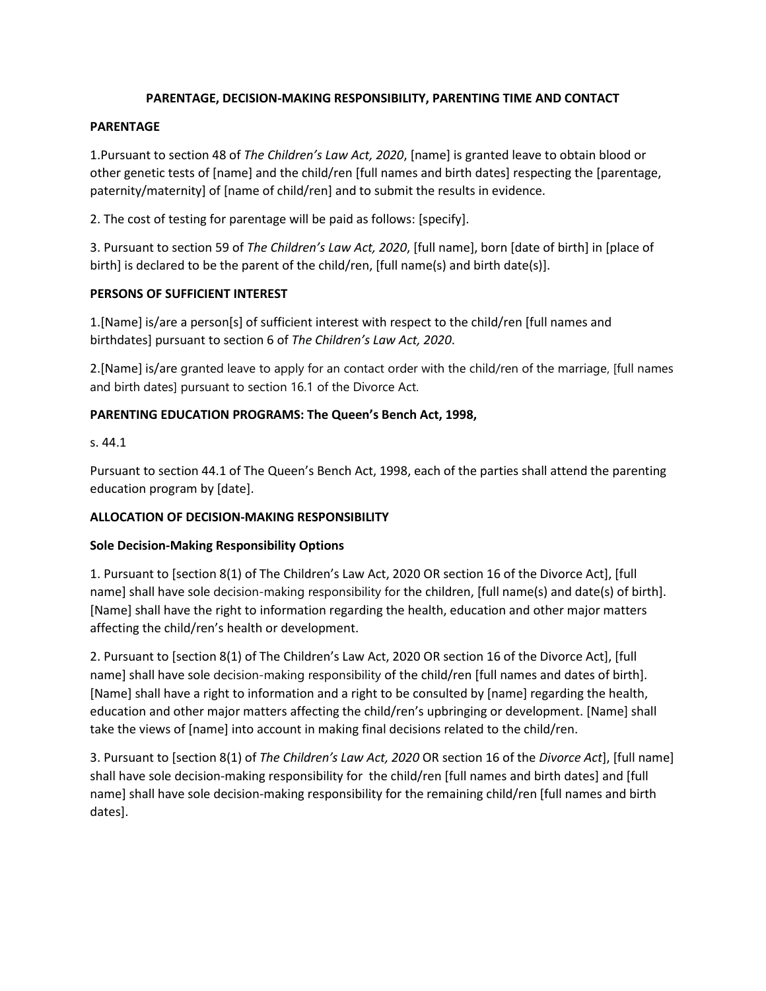#### **PARENTAGE, DECISION-MAKING RESPONSIBILITY, PARENTING TIME AND CONTACT**

#### **PARENTAGE**

1.Pursuant to section 48 of *The Children's Law Act, 2020*, [name] is granted leave to obtain blood or other genetic tests of [name] and the child/ren [full names and birth dates] respecting the [parentage, paternity/maternity] of [name of child/ren] and to submit the results in evidence.

2. The cost of testing for parentage will be paid as follows: [specify].

3. Pursuant to section 59 of *The Children's Law Act, 2020*, [full name], born [date of birth] in [place of birth] is declared to be the parent of the child/ren, [full name(s) and birth date(s)].

#### **PERSONS OF SUFFICIENT INTEREST**

1.[Name] is/are a person[s] of sufficient interest with respect to the child/ren [full names and birthdates] pursuant to section 6 of *The Children's Law Act, 2020*.

2.[Name] is/are granted leave to apply for an contact order with the child/ren of the marriage, [full names and birth dates] pursuant to section 16.1 of the Divorce Act.

#### **PARENTING EDUCATION PROGRAMS: The Queen's Bench Act, 1998,**

s. 44.1

Pursuant to section 44.1 of The Queen's Bench Act, 1998, each of the parties shall attend the parenting education program by [date].

#### **ALLOCATION OF DECISION-MAKING RESPONSIBILITY**

#### **Sole Decision-Making Responsibility Options**

1. Pursuant to [section 8(1) of The Children's Law Act, 2020 OR section 16 of the Divorce Act], [full name] shall have sole decision-making responsibility for the children, [full name(s) and date(s) of birth]. [Name] shall have the right to information regarding the health, education and other major matters affecting the child/ren's health or development.

2. Pursuant to [section 8(1) of The Children's Law Act, 2020 OR section 16 of the Divorce Act], [full name] shall have sole decision-making responsibility of the child/ren [full names and dates of birth]. [Name] shall have a right to information and a right to be consulted by [name] regarding the health, education and other major matters affecting the child/ren's upbringing or development. [Name] shall take the views of [name] into account in making final decisions related to the child/ren.

3. Pursuant to [section 8(1) of *The Children's Law Act, 2020* OR section 16 of the *Divorce Act*], [full name] shall have sole decision-making responsibility for the child/ren [full names and birth dates] and [full name] shall have sole decision-making responsibility for the remaining child/ren [full names and birth dates].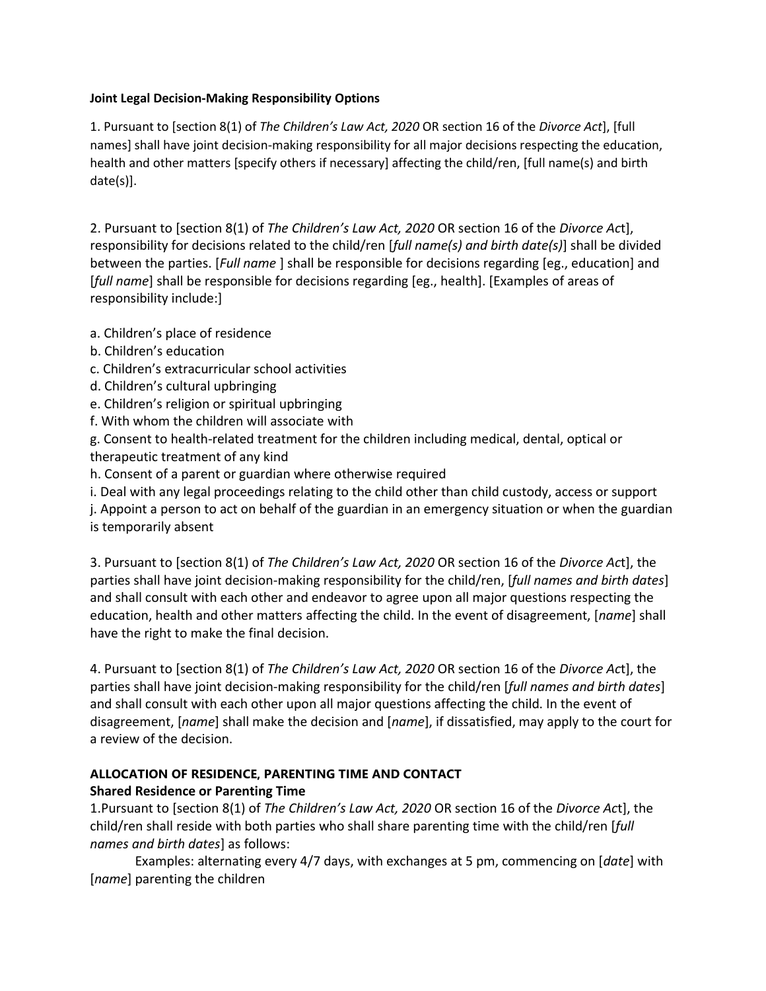#### **Joint Legal Decision-Making Responsibility Options**

1. Pursuant to [section 8(1) of *The Children's Law Act, 2020* OR section 16 of the *Divorce Act*], [full names] shall have joint decision-making responsibility for all major decisions respecting the education, health and other matters [specify others if necessary] affecting the child/ren, [full name(s) and birth date(s)].

2. Pursuant to [section 8(1) of *The Children's Law Act, 2020* OR section 16 of the *Divorce Ac*t], responsibility for decisions related to the child/ren [*full name(s) and birth date(s)*] shall be divided between the parties. [*Full name* ] shall be responsible for decisions regarding [eg., education] and [*full name*] shall be responsible for decisions regarding [eg., health]. [Examples of areas of responsibility include:]

- a. Children's place of residence
- b. Children's education
- c. Children's extracurricular school activities
- d. Children's cultural upbringing
- e. Children's religion or spiritual upbringing
- f. With whom the children will associate with

g. Consent to health-related treatment for the children including medical, dental, optical or therapeutic treatment of any kind

h. Consent of a parent or guardian where otherwise required

i. Deal with any legal proceedings relating to the child other than child custody, access or support

j. Appoint a person to act on behalf of the guardian in an emergency situation or when the guardian is temporarily absent

3. Pursuant to [section 8(1) of *The Children's Law Act, 2020* OR section 16 of the *Divorce Ac*t], the parties shall have joint decision-making responsibility for the child/ren, [*full names and birth dates*] and shall consult with each other and endeavor to agree upon all major questions respecting the education, health and other matters affecting the child. In the event of disagreement, [*name*] shall have the right to make the final decision.

4. Pursuant to [section 8(1) of *The Children's Law Act, 2020* OR section 16 of the *Divorce Ac*t], the parties shall have joint decision-making responsibility for the child/ren [*full names and birth dates*] and shall consult with each other upon all major questions affecting the child. In the event of disagreement, [*name*] shall make the decision and [*name*], if dissatisfied, may apply to the court for a review of the decision.

### **ALLOCATION OF RESIDENCE, PARENTING TIME AND CONTACT Shared Residence or Parenting Time**

1.Pursuant to [section 8(1) of *The Children's Law Act, 2020* OR section 16 of the *Divorce Ac*t], the child/ren shall reside with both parties who shall share parenting time with the child/ren [*full names and birth dates*] as follows:

Examples: alternating every 4/7 days, with exchanges at 5 pm, commencing on [*date*] with [*name*] parenting the children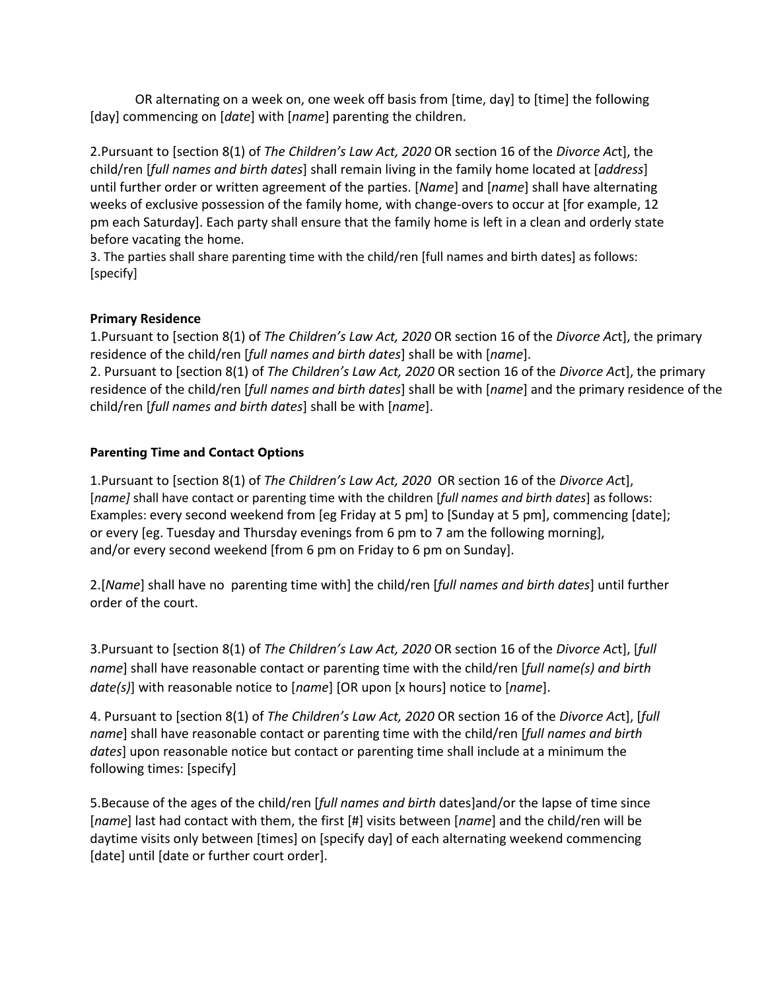OR alternating on a week on, one week off basis from [time, day] to [time] the following [day] commencing on [*date*] with [*name*] parenting the children.

2.Pursuant to [section 8(1) of *The Children's Law Act, 2020* OR section 16 of the *Divorce Ac*t], the child/ren [*full names and birth dates*] shall remain living in the family home located at [*address*] until further order or written agreement of the parties. [*Name*] and [*name*] shall have alternating weeks of exclusive possession of the family home, with change-overs to occur at [for example, 12 pm each Saturday]. Each party shall ensure that the family home is left in a clean and orderly state before vacating the home.

3. The parties shall share parenting time with the child/ren [full names and birth dates] as follows: [specify]

# **Primary Residence**

1.Pursuant to [section 8(1) of *The Children's Law Act, 2020* OR section 16 of the *Divorce Ac*t], the primary residence of the child/ren [*full names and birth dates*] shall be with [*name*].

2. Pursuant to [section 8(1) of *The Children's Law Act, 2020* OR section 16 of the *Divorce Ac*t], the primary residence of the child/ren [*full names and birth dates*] shall be with [*name*] and the primary residence of the child/ren [*full names and birth dates*] shall be with [*name*].

### **Parenting Time and Contact Options**

1.Pursuant to [section 8(1) of *The Children's Law Act, 2020* OR section 16 of the *Divorce Ac*t], [*name]* shall have contact or parenting time with the children [*full names and birth dates*] as follows: Examples: every second weekend from [eg Friday at 5 pm] to [Sunday at 5 pm], commencing [date]; or every [eg. Tuesday and Thursday evenings from 6 pm to 7 am the following morning], and/or every second weekend [from 6 pm on Friday to 6 pm on Sunday].

2.[*Name*] shall have no parenting time with] the child/ren [*full names and birth dates*] until further order of the court.

3.Pursuant to [section 8(1) of *The Children's Law Act, 2020* OR section 16 of the *Divorce Ac*t], [*full name*] shall have reasonable contact or parenting time with the child/ren [*full name(s) and birth date(s)*] with reasonable notice to [*name*] [OR upon [x hours] notice to [*name*].

4. Pursuant to [section 8(1) of *The Children's Law Act, 2020* OR section 16 of the *Divorce Ac*t], [*full name*] shall have reasonable contact or parenting time with the child/ren [*full names and birth dates*] upon reasonable notice but contact or parenting time shall include at a minimum the following times: [specify]

5.Because of the ages of the child/ren [*full names and birth* dates]and/or the lapse of time since [*name*] last had contact with them, the first [#] visits between [*name*] and the child/ren will be daytime visits only between [times] on [specify day] of each alternating weekend commencing [date] until [date or further court order].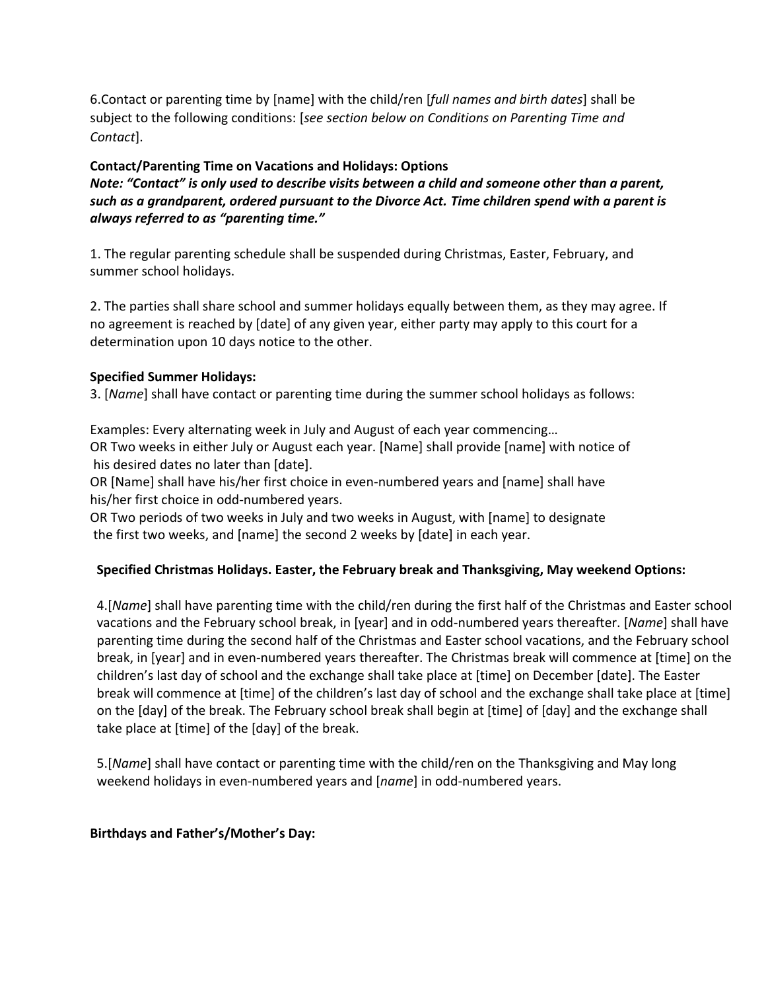6.Contact or parenting time by [name] with the child/ren [*full names and birth dates*] shall be subject to the following conditions: [*see section below on Conditions on Parenting Time and Contact*].

### **Contact/Parenting Time on Vacations and Holidays: Options**

*Note: "Contact" is only used to describe visits between a child and someone other than a parent, such as a grandparent, ordered pursuant to the Divorce Act. Time children spend with a parent is always referred to as "parenting time."*

1. The regular parenting schedule shall be suspended during Christmas, Easter, February, and summer school holidays.

2. The parties shall share school and summer holidays equally between them, as they may agree. If no agreement is reached by [date] of any given year, either party may apply to this court for a determination upon 10 days notice to the other.

# **Specified Summer Holidays:**

3. [*Name*] shall have contact or parenting time during the summer school holidays as follows:

Examples: Every alternating week in July and August of each year commencing… OR Two weeks in either July or August each year. [Name] shall provide [name] with notice of his desired dates no later than [date].

OR [Name] shall have his/her first choice in even-numbered years and [name] shall have his/her first choice in odd-numbered years.

OR Two periods of two weeks in July and two weeks in August, with [name] to designate the first two weeks, and [name] the second 2 weeks by [date] in each year.

# **Specified Christmas Holidays. Easter, the February break and Thanksgiving, May weekend Options:**

4.[*Name*] shall have parenting time with the child/ren during the first half of the Christmas and Easter school vacations and the February school break, in [year] and in odd-numbered years thereafter. [*Name*] shall have parenting time during the second half of the Christmas and Easter school vacations, and the February school break, in [year] and in even-numbered years thereafter. The Christmas break will commence at [time] on the children's last day of school and the exchange shall take place at [time] on December [date]. The Easter break will commence at [time] of the children's last day of school and the exchange shall take place at [time] on the [day] of the break. The February school break shall begin at [time] of [day] and the exchange shall take place at [time] of the [day] of the break.

5.[*Name*] shall have contact or parenting time with the child/ren on the Thanksgiving and May long weekend holidays in even-numbered years and [*name*] in odd-numbered years.

### **Birthdays and Father's/Mother's Day:**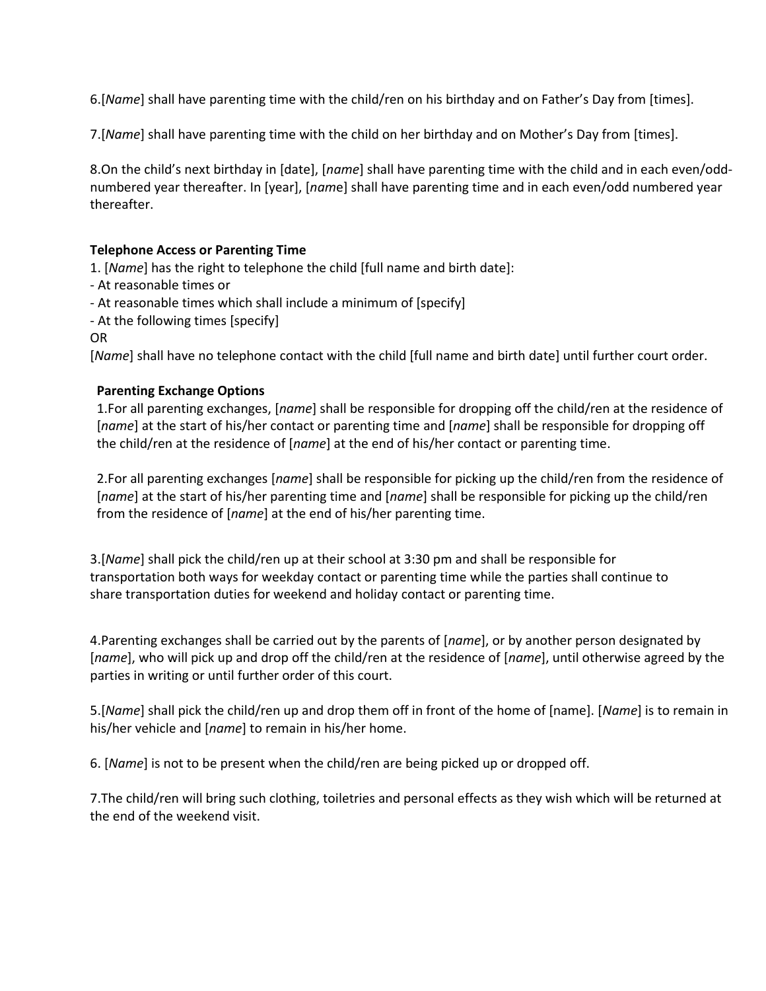6.[*Name*] shall have parenting time with the child/ren on his birthday and on Father's Day from [times].

7.[*Name*] shall have parenting time with the child on her birthday and on Mother's Day from [times].

8.On the child's next birthday in [date], [*name*] shall have parenting time with the child and in each even/oddnumbered year thereafter. In [year], [*nam*e] shall have parenting time and in each even/odd numbered year thereafter.

#### **Telephone Access or Parenting Time**

1. [*Name*] has the right to telephone the child [full name and birth date]:

- At reasonable times or

- At reasonable times which shall include a minimum of [specify]

- At the following times [specify]

OR

[*Name*] shall have no telephone contact with the child [full name and birth date] until further court order.

### **Parenting Exchange Options**

1.For all parenting exchanges, [*name*] shall be responsible for dropping off the child/ren at the residence of [*name*] at the start of his/her contact or parenting time and [*name*] shall be responsible for dropping off the child/ren at the residence of [*name*] at the end of his/her contact or parenting time.

2.For all parenting exchanges [*name*] shall be responsible for picking up the child/ren from the residence of [*name*] at the start of his/her parenting time and [*name*] shall be responsible for picking up the child/ren from the residence of [*name*] at the end of his/her parenting time.

3.[*Name*] shall pick the child/ren up at their school at 3:30 pm and shall be responsible for transportation both ways for weekday contact or parenting time while the parties shall continue to share transportation duties for weekend and holiday contact or parenting time.

4.Parenting exchanges shall be carried out by the parents of [*name*], or by another person designated by [*name*], who will pick up and drop off the child/ren at the residence of [*name*], until otherwise agreed by the parties in writing or until further order of this court.

5.[*Name*] shall pick the child/ren up and drop them off in front of the home of [name]. [*Name*] is to remain in his/her vehicle and [*name*] to remain in his/her home.

6. [*Name*] is not to be present when the child/ren are being picked up or dropped off.

7.The child/ren will bring such clothing, toiletries and personal effects as they wish which will be returned at the end of the weekend visit.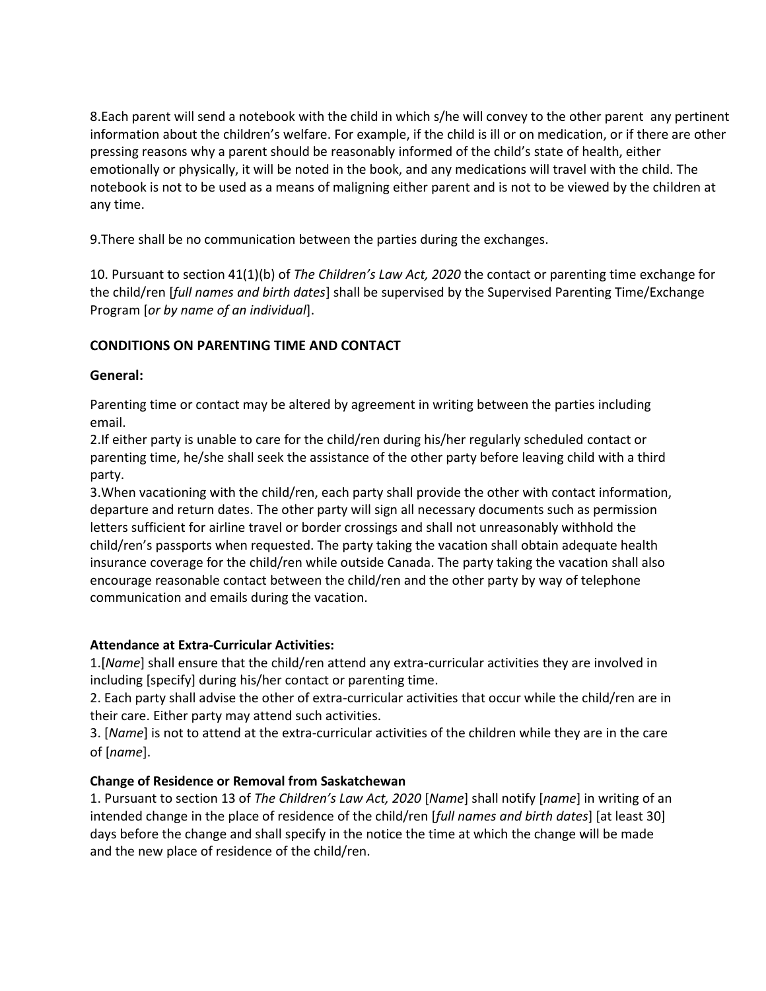8.Each parent will send a notebook with the child in which s/he will convey to the other parent any pertinent information about the children's welfare. For example, if the child is ill or on medication, or if there are other pressing reasons why a parent should be reasonably informed of the child's state of health, either emotionally or physically, it will be noted in the book, and any medications will travel with the child. The notebook is not to be used as a means of maligning either parent and is not to be viewed by the children at any time.

9.There shall be no communication between the parties during the exchanges.

10. Pursuant to section 41(1)(b) of *The Children's Law Act, 2020* the contact or parenting time exchange for the child/ren [*full names and birth dates*] shall be supervised by the Supervised Parenting Time/Exchange Program [*or by name of an individual*].

# **CONDITIONS ON PARENTING TIME AND CONTACT**

### **General:**

Parenting time or contact may be altered by agreement in writing between the parties including email.

2.If either party is unable to care for the child/ren during his/her regularly scheduled contact or parenting time, he/she shall seek the assistance of the other party before leaving child with a third party.

3.When vacationing with the child/ren, each party shall provide the other with contact information, departure and return dates. The other party will sign all necessary documents such as permission letters sufficient for airline travel or border crossings and shall not unreasonably withhold the child/ren's passports when requested. The party taking the vacation shall obtain adequate health insurance coverage for the child/ren while outside Canada. The party taking the vacation shall also encourage reasonable contact between the child/ren and the other party by way of telephone communication and emails during the vacation.

### **Attendance at Extra-Curricular Activities:**

1.[*Name*] shall ensure that the child/ren attend any extra-curricular activities they are involved in including [specify] during his/her contact or parenting time.

2. Each party shall advise the other of extra-curricular activities that occur while the child/ren are in their care. Either party may attend such activities.

3. [*Name*] is not to attend at the extra-curricular activities of the children while they are in the care of [*name*].

# **Change of Residence or Removal from Saskatchewan**

1. Pursuant to section 13 of *The Children's Law Act, 2020* [*Name*] shall notify [*name*] in writing of an intended change in the place of residence of the child/ren [*full names and birth dates*] [at least 30] days before the change and shall specify in the notice the time at which the change will be made and the new place of residence of the child/ren.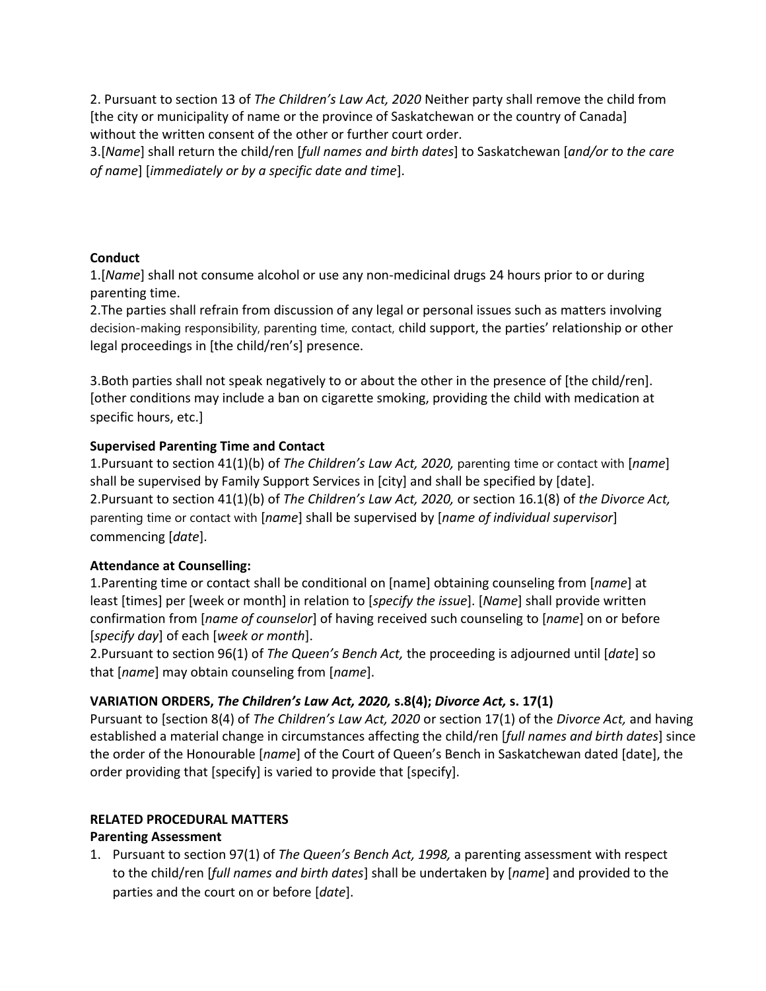2. Pursuant to section 13 of *The Children's Law Act, 2020* Neither party shall remove the child from [the city or municipality of name or the province of Saskatchewan or the country of Canada] without the written consent of the other or further court order.

3.[*Name*] shall return the child/ren [*full names and birth dates*] to Saskatchewan [*and/or to the care of name*] [*immediately or by a specific date and time*].

# **Conduct**

1.[*Name*] shall not consume alcohol or use any non-medicinal drugs 24 hours prior to or during parenting time.

2.The parties shall refrain from discussion of any legal or personal issues such as matters involving decision-making responsibility, parenting time, contact, child support, the parties' relationship or other legal proceedings in [the child/ren's] presence.

3.Both parties shall not speak negatively to or about the other in the presence of [the child/ren]. [other conditions may include a ban on cigarette smoking, providing the child with medication at specific hours, etc.]

# **Supervised Parenting Time and Contact**

1.Pursuant to section 41(1)(b) of *The Children's Law Act, 2020,* parenting time or contact with [*name*] shall be supervised by Family Support Services in [city] and shall be specified by [date]. 2.Pursuant to section 41(1)(b) of *The Children's Law Act, 2020,* or section 16.1(8) of *the Divorce Act,*  parenting time or contact with [*name*] shall be supervised by [*name of individual supervisor*] commencing [*date*].

### **Attendance at Counselling:**

1.Parenting time or contact shall be conditional on [name] obtaining counseling from [*name*] at least [times] per [week or month] in relation to [*specify the issue*]. [*Name*] shall provide written confirmation from [*name of counselor*] of having received such counseling to [*name*] on or before [*specify day*] of each [*week or month*].

2.Pursuant to section 96(1) of *The Queen's Bench Act,* the proceeding is adjourned until [*date*] so that [*name*] may obtain counseling from [*name*].

# **VARIATION ORDERS,** *The Children's Law Act, 2020,* **s.8(4);** *Divorce Act,* **s. 17(1)**

Pursuant to [section 8(4) of *The Children's Law Act, 2020* or section 17(1) of the *Divorce Act,* and having established a material change in circumstances affecting the child/ren [*full names and birth dates*] since the order of the Honourable [*name*] of the Court of Queen's Bench in Saskatchewan dated [date], the order providing that [specify] is varied to provide that [specify].

# **RELATED PROCEDURAL MATTERS**

### **Parenting Assessment**

1. Pursuant to section 97(1) of *The Queen's Bench Act, 1998,* a parenting assessment with respect to the child/ren [*full names and birth dates*] shall be undertaken by [*name*] and provided to the parties and the court on or before [*date*].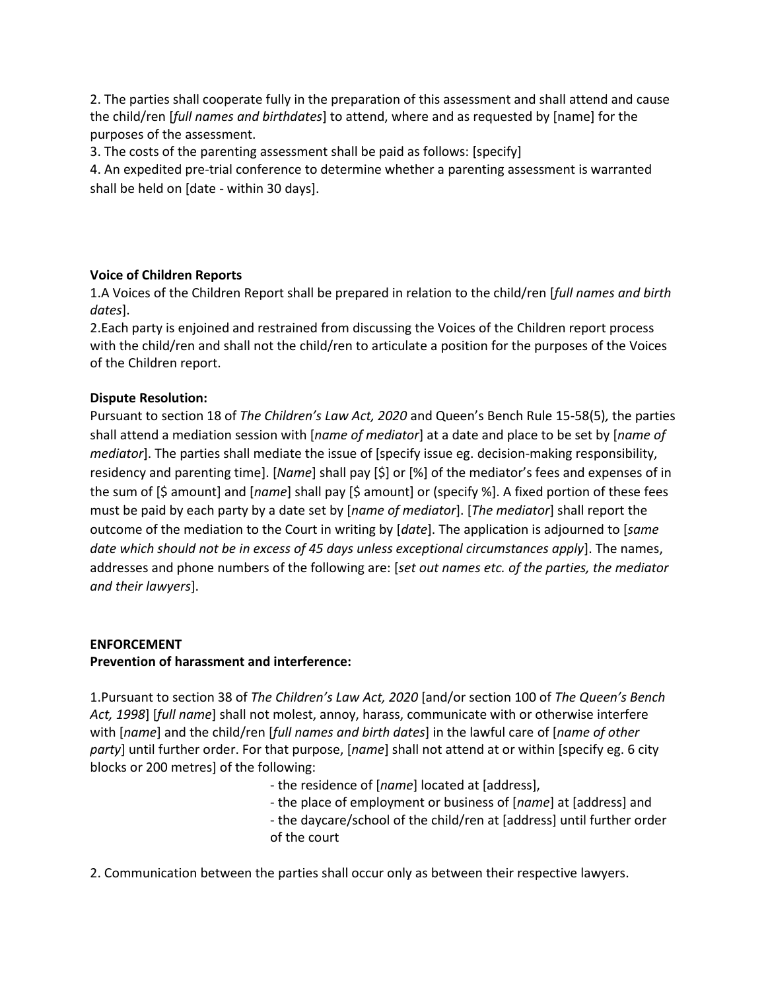2. The parties shall cooperate fully in the preparation of this assessment and shall attend and cause the child/ren [*full names and birthdates*] to attend, where and as requested by [name] for the purposes of the assessment.

3. The costs of the parenting assessment shall be paid as follows: [specify]

4. An expedited pre-trial conference to determine whether a parenting assessment is warranted shall be held on [date - within 30 days].

# **Voice of Children Reports**

1.A Voices of the Children Report shall be prepared in relation to the child/ren [*full names and birth dates*].

2.Each party is enjoined and restrained from discussing the Voices of the Children report process with the child/ren and shall not the child/ren to articulate a position for the purposes of the Voices of the Children report.

### **Dispute Resolution:**

Pursuant to section 18 of *The Children's Law Act, 2020* and Queen's Bench Rule 15-58(5)*,* the parties shall attend a mediation session with [*name of mediator*] at a date and place to be set by [*name of mediator*]. The parties shall mediate the issue of [specify issue eg. decision-making responsibility, residency and parenting time]. [*Name*] shall pay [\$] or [%] of the mediator's fees and expenses of in the sum of [\$ amount] and [*name*] shall pay [\$ amount] or (specify %]. A fixed portion of these fees must be paid by each party by a date set by [*name of mediator*]. [*The mediator*] shall report the outcome of the mediation to the Court in writing by [*date*]. The application is adjourned to [*same date which should not be in excess of 45 days unless exceptional circumstances apply*]. The names, addresses and phone numbers of the following are: [*set out names etc. of the parties, the mediator and their lawyers*].

# **ENFORCEMENT Prevention of harassment and interference:**

1.Pursuant to section 38 of *The Children's Law Act, 2020* [and/or section 100 of *The Queen's Bench Act, 1998*] [*full name*] shall not molest, annoy, harass, communicate with or otherwise interfere with [*name*] and the child/ren [*full names and birth dates*] in the lawful care of [*name of other party*] until further order. For that purpose, [*name*] shall not attend at or within [specify eg. 6 city blocks or 200 metres] of the following:

- the residence of [*name*] located at [address],

- the place of employment or business of [*name*] at [address] and
- the daycare/school of the child/ren at [address] until further order of the court

2. Communication between the parties shall occur only as between their respective lawyers.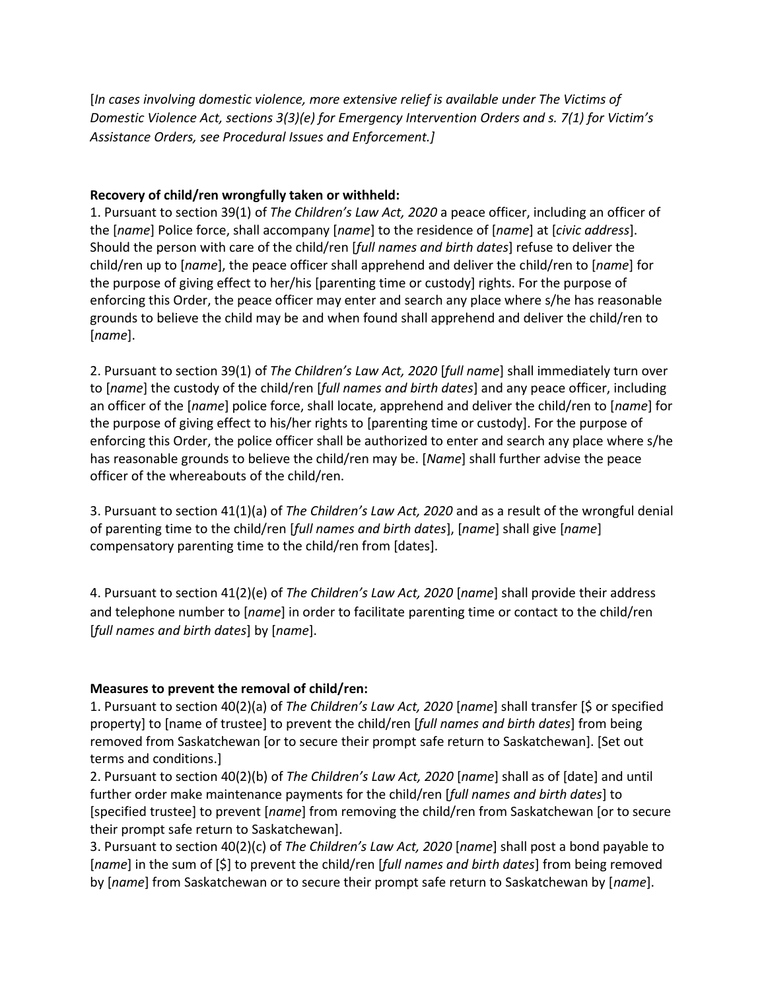[*In cases involving domestic violence, more extensive relief is available under The Victims of Domestic Violence Act, sections 3(3)(e) for Emergency Intervention Orders and s. 7(1) for Victim's Assistance Orders, see Procedural Issues and Enforcement.]*

### **Recovery of child/ren wrongfully taken or withheld:**

1. Pursuant to section 39(1) of *The Children's Law Act, 2020* a peace officer, including an officer of the [*name*] Police force, shall accompany [*name*] to the residence of [*name*] at [*civic address*]. Should the person with care of the child/ren [*full names and birth dates*] refuse to deliver the child/ren up to [*name*], the peace officer shall apprehend and deliver the child/ren to [*name*] for the purpose of giving effect to her/his [parenting time or custody] rights. For the purpose of enforcing this Order, the peace officer may enter and search any place where s/he has reasonable grounds to believe the child may be and when found shall apprehend and deliver the child/ren to [*name*].

2. Pursuant to section 39(1) of *The Children's Law Act, 2020* [*full name*] shall immediately turn over to [*name*] the custody of the child/ren [*full names and birth dates*] and any peace officer, including an officer of the [*name*] police force, shall locate, apprehend and deliver the child/ren to [*name*] for the purpose of giving effect to his/her rights to [parenting time or custody]. For the purpose of enforcing this Order, the police officer shall be authorized to enter and search any place where s/he has reasonable grounds to believe the child/ren may be. [*Name*] shall further advise the peace officer of the whereabouts of the child/ren.

3. Pursuant to section 41(1)(a) of *The Children's Law Act, 2020* and as a result of the wrongful denial of parenting time to the child/ren [*full names and birth dates*], [*name*] shall give [*name*] compensatory parenting time to the child/ren from [dates].

4. Pursuant to section 41(2)(e) of *The Children's Law Act, 2020* [*name*] shall provide their address and telephone number to [*name*] in order to facilitate parenting time or contact to the child/ren [*full names and birth dates*] by [*name*].

# **Measures to prevent the removal of child/ren:**

1. Pursuant to section 40(2)(a) of *The Children's Law Act, 2020* [*name*] shall transfer [\$ or specified property] to [name of trustee] to prevent the child/ren [*full names and birth dates*] from being removed from Saskatchewan [or to secure their prompt safe return to Saskatchewan]. [Set out terms and conditions.]

2. Pursuant to section 40(2)(b) of *The Children's Law Act, 2020* [*name*] shall as of [date] and until further order make maintenance payments for the child/ren [*full names and birth dates*] to [specified trustee] to prevent [*name*] from removing the child/ren from Saskatchewan [or to secure their prompt safe return to Saskatchewan].

3. Pursuant to section 40(2)(c) of *The Children's Law Act, 2020* [*name*] shall post a bond payable to [*name*] in the sum of [\$] to prevent the child/ren [*full names and birth dates*] from being removed by [*name*] from Saskatchewan or to secure their prompt safe return to Saskatchewan by [*name*].